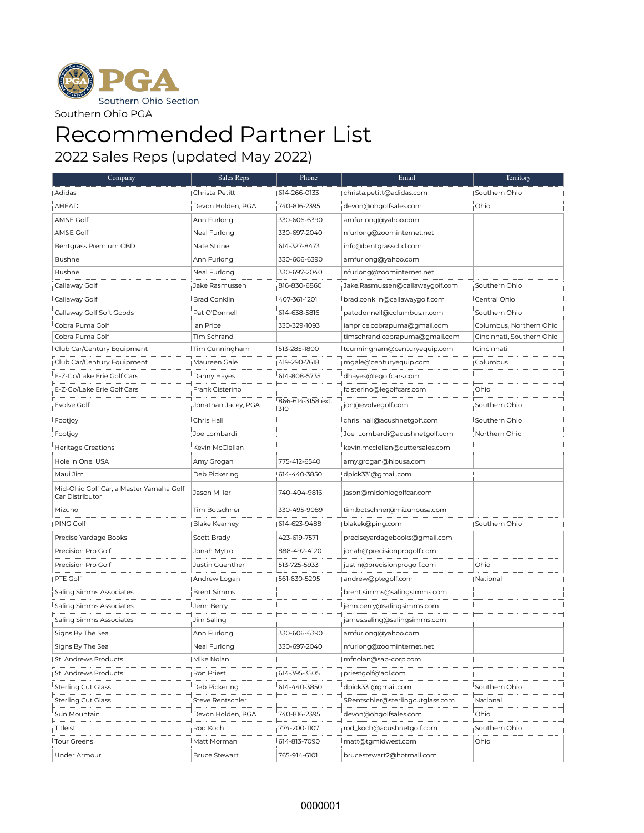

## Recommended Partner List

2022 Sales Reps (updated May 2022)

| Company                                                    | Sales Reps           | Phone                    | Email                            | Territory                 |
|------------------------------------------------------------|----------------------|--------------------------|----------------------------------|---------------------------|
| Adidas                                                     | Christa Petitt       | 614-266-0133             | christa.petitt@adidas.com        | Southern Ohio             |
| AHEAD                                                      | Devon Holden, PGA    | 740-816-2395             | devon@ohgolfsales.com            | Ohio                      |
| AM&E Golf                                                  | Ann Furlong          | 330-606-6390             | amfurlong@yahoo.com              |                           |
| AM&E Golf                                                  | Neal Furlong         | 330-697-2040             | nfurlong@zoominternet.net        |                           |
| Bentgrass Premium CBD                                      | Nate Strine          | 614-327-8473             | info@bentgrasscbd.com            |                           |
| Bushnell                                                   | Ann Furlong          | 330-606-6390             | amfurlong@yahoo.com              |                           |
| Bushnell                                                   | Neal Furlong         | 330-697-2040             | nfurlong@zoominternet.net        |                           |
| Callaway Golf                                              | Jake Rasmussen       | 816-830-6860             | Jake.Rasmussen@callawaygolf.com  | Southern Ohio             |
| Callaway Golf                                              | <b>Brad Conklin</b>  | 407-361-1201             | brad.conklin@callawaygolf.com    | Central Ohio              |
| Callaway Golf Soft Goods                                   | Pat O'Donnell        | 614-638-5816             | patodonnell@columbus.rr.com      | Southern Ohio             |
| Cobra Puma Golf                                            | lan Price            | 330-329-1093             | ianprice.cobrapuma@gmail.com     | Columbus, Northern Ohio   |
| Cobra Puma Golf                                            | Tim Schrand          |                          | timschrand.cobrapuma@gmail.com   | Cincinnati, Southern Ohio |
| Club Car/Century Equipment                                 | Tim Cunningham       | 513-285-1800             | tcunningham@centuryequip.com     | Cincinnati                |
| Club Car/Century Equipment                                 | Maureen Gale         | 419-290-7618             | mgale@centuryequip.com           | Columbus                  |
| E-Z-Go/Lake Erie Golf Cars                                 | Danny Hayes          | 614-808-5735             | dhayes@legolfcars.com            |                           |
| E-Z-Go/Lake Erie Golf Cars                                 | Frank Cisterino      |                          | fcisterino@legolfcars.com        | Ohio                      |
| Evolve Golf                                                | Jonathan Jacey, PGA  | 866-614-3158 ext.<br>310 | jon@evolvegolf.com               | Southern Ohio             |
| Footjoy                                                    | Chris Hall           |                          | chris_hall@acushnetgolf.com      | Southern Ohio             |
| Footjoy                                                    | Joe Lombardi         |                          | Joe_Lombardi@acushnetgolf.com    | Northern Ohio             |
| <b>Heritage Creations</b>                                  | Kevin McClellan      |                          | kevin.mcclellan@cuttersales.com  |                           |
| Hole in One, USA                                           | Amy Grogan           | 775-412-6540             | amy.grogan@hiousa.com            |                           |
| Maui Jim                                                   | Deb Pickering        | 614-440-3850             | dpick331@gmail.com               |                           |
| Mid-Ohio Golf Car, a Master Yamaha Golf<br>Car Distributor | Jason Miller         | 740-404-9816             | jason@midohiogolfcar.com         |                           |
| Mizuno                                                     | Tim Botschner        | 330-495-9089             | tim.botschner@mizunousa.com      |                           |
| PING Golf                                                  | <b>Blake Kearney</b> | 614-623-9488             | blakek@ping.com                  | Southern Ohio             |
| Precise Yardage Books                                      | Scott Brady          | 423-619-7571             | preciseyardagebooks@gmail.com    |                           |
| Precision Pro Golf                                         | Jonah Mytro          | 888-492-4120             | jonah@precisionprogolf.com       |                           |
| Precision Pro Golf                                         | Justin Guenther      | 513-725-5933             | justin@precisionprogolf.com      | Ohio                      |
| PTE Golf                                                   | Andrew Logan         | 561-630-5205             | andrew@ptegolf.com               | National                  |
| Saling Simms Associates                                    | Brent Simms          |                          | brent.simms@salingsimms.com      |                           |
| Saling Simms Associates                                    | Jenn Berry           |                          | jenn.berry@salingsimms.com       |                           |
| Saling Simms Associates                                    | Jim Saling           |                          | james.saling@salingsimms.com     |                           |
| Signs By The Sea                                           | Ann Furlong          | 330-606-6390             | amfurlong@yahoo.com              |                           |
| Signs By The Sea                                           | Neal Furlong         | 330-697-2040             | nfurlong@zoominternet.net        |                           |
| St. Andrews Products                                       | Mike Nolan           |                          | mfnolan@sap-corp.com             |                           |
| St. Andrews Products                                       | Ron Priest           | 614-395-3505             | priestgolf@aol.com               |                           |
| <b>Sterling Cut Glass</b>                                  | Deb Pickering        | 614-440-3850             | dpick331@gmail.com               | Southern Ohio             |
| <b>Sterling Cut Glass</b>                                  | Steve Rentschler     |                          | SRentschler@sterlingcutglass.com | National                  |
| Sun Mountain                                               | Devon Holden, PGA    | 740-816-2395             | devon@ohgolfsales.com            | Ohio                      |
| Titleist                                                   | Rod Koch             | 774-200-1107             | rod_koch@acushnetgolf.com        | Southern Ohio             |
| <b>Tour Greens</b>                                         | Matt Morman          | 614-813-7090             | matt@tqmidwest.com               | Ohio                      |
| Under Armour                                               | <b>Bruce Stewart</b> | 765-914-6101             | brucestewart2@hotmail.com        |                           |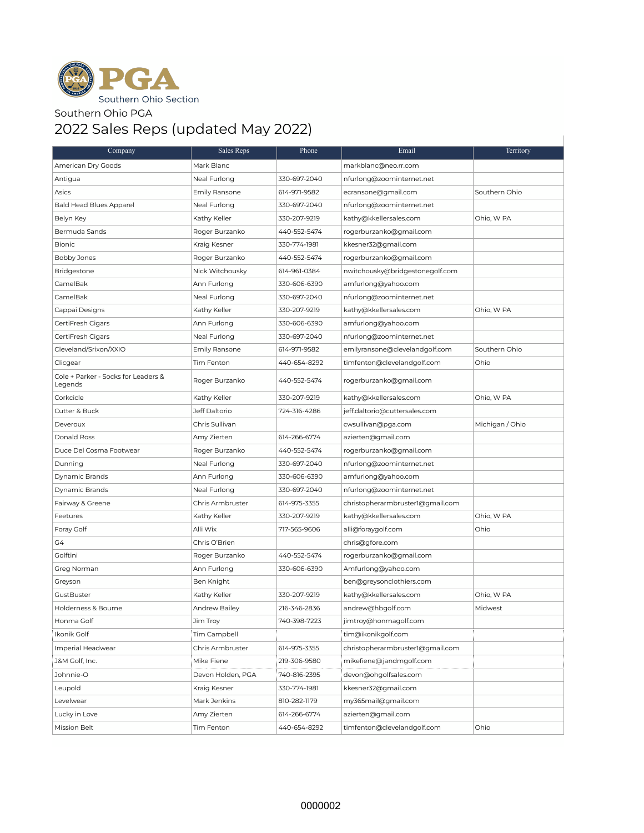

## Southern Ohio PGA

## 2022 Sales Reps (updated May 2022)

| Company                                        | Sales Reps        | Phone        | Email                            | Territory       |
|------------------------------------------------|-------------------|--------------|----------------------------------|-----------------|
| American Dry Goods                             | Mark Blanc        |              | markblanc@neo.rr.com             |                 |
| Antigua                                        | Neal Furlong      | 330-697-2040 | nfurlong@zoominternet.net        |                 |
| Asics                                          | Emily Ransone     | 614-971-9582 | ecransone@gmail.com              | Southern Ohio   |
| <b>Bald Head Blues Apparel</b>                 | Neal Furlong      | 330-697-2040 | nfurlong@zoominternet.net        |                 |
| Belyn Key                                      | Kathy Keller      | 330-207-9219 | kathy@kkellersales.com           | Ohio, W PA      |
| Bermuda Sands                                  | Roger Burzanko    | 440-552-5474 | rogerburzanko@gmail.com          |                 |
| <b>Bionic</b>                                  | Kraig Kesner      | 330-774-1981 | kkesner32@gmail.com              |                 |
| Bobby Jones                                    | Roger Burzanko    | 440-552-5474 | rogerburzanko@gmail.com          |                 |
| Bridgestone                                    | Nick Witchousky   | 614-961-0384 | nwitchousky@bridgestonegolf.com  |                 |
| CamelBak                                       | Ann Furlong       | 330-606-6390 | amfurlong@yahoo.com              |                 |
| CamelBak                                       | Neal Furlong      | 330-697-2040 | nfurlong@zoominternet.net        |                 |
| Cappai Designs                                 | Kathy Keller      | 330-207-9219 | kathy@kkellersales.com           | Ohio, W PA      |
| CertiFresh Cigars                              | Ann Furlong       | 330-606-6390 | amfurlong@yahoo.com              |                 |
| CertiFresh Cigars                              | Neal Furlong      | 330-697-2040 | nfurlong@zoominternet.net        |                 |
| Cleveland/Srixon/XXIO                          | Emily Ransone     | 614-971-9582 | emilyransone@clevelandgolf.com   | Southern Ohio   |
| Clicgear                                       | Tim Fenton        | 440-654-8292 | timfenton@clevelandgolf.com      | Ohio            |
| Cole + Parker - Socks for Leaders &<br>Legends | Roger Burzanko    | 440-552-5474 | rogerburzanko@gmail.com          |                 |
| Corkcicle                                      | Kathy Keller      | 330-207-9219 | kathy@kkellersales.com           | Ohio, W PA      |
| Cutter & Buck                                  | Jeff Daltorio     | 724-316-4286 | jeff.daltorio@cuttersales.com    |                 |
| Deveroux                                       | Chris Sullivan    |              | cwsullivan@pga.com               | Michigan / Ohio |
| Donald Ross                                    | Amy Zierten       | 614-266-6774 | azierten@gmail.com               |                 |
| Duce Del Cosma Footwear                        | Roger Burzanko    | 440-552-5474 | rogerburzanko@gmail.com          |                 |
| Dunning                                        | Neal Furlong      | 330-697-2040 | nfurlong@zoominternet.net        |                 |
| Dynamic Brands                                 | Ann Furlong       | 330-606-6390 | amfurlong@yahoo.com              |                 |
| Dynamic Brands                                 | Neal Furlong      | 330-697-2040 | nfurlong@zoominternet.net        |                 |
| Fairway & Greene                               | Chris Armbruster  | 614-975-3355 | christopherarmbruster1@gmail.com |                 |
| Feetures                                       | Kathy Keller      | 330-207-9219 | kathy@kkellersales.com           | Ohio, W PA      |
| Foray Golf                                     | Alli Wix          | 717-565-9606 | alli@foraygolf.com               | Ohio            |
| G4                                             | Chris O'Brien     |              | chris@gfore.com                  |                 |
| Golftini                                       | Roger Burzanko    | 440-552-5474 | rogerburzanko@gmail.com          |                 |
| Greg Norman                                    | Ann Furlong       | 330-606-6390 | Amfurlong@yahoo.com              |                 |
| Greyson                                        | Ben Knight        |              | ben@greysonclothiers.com         |                 |
| GustBuster                                     | Kathy Keller      | 330-207-9219 | kathy@kkellersales.com           | Ohio, W PA      |
| Holderness & Bourne                            | Andrew Bailey     | 216-346-2836 | andrew@hbgolf.com                | Midwest         |
| Honma Golf                                     | Jim Troy          | 740-398-7223 | jimtroy@honmagolf.com            |                 |
| Ikonik Golf                                    | Tim Campbell      |              | tim@ikonikgolf.com               |                 |
| Imperial Headwear                              | Chris Armbruster  | 614-975-3355 | christopherarmbruster1@gmail.com |                 |
| J&M Golf, Inc.                                 | Mike Fiene        | 219-306-9580 | mikefiene@jandmgolf.com          |                 |
| Johnnie-O                                      | Devon Holden, PGA | 740-816-2395 | devon@ohgolfsales.com            |                 |
| Leupold                                        | Kraig Kesner      | 330-774-1981 | kkesner32@gmail.com              |                 |
| Levelwear                                      | Mark Jenkins      | 810-282-1179 | my365mail@gmail.com              |                 |
| Lucky in Love                                  | Amy Zierten       | 614-266-6774 | azierten@gmail.com               |                 |
| Mission Belt                                   | Tim Fenton        | 440-654-8292 | timfenton@clevelandgolf.com      | Ohio            |